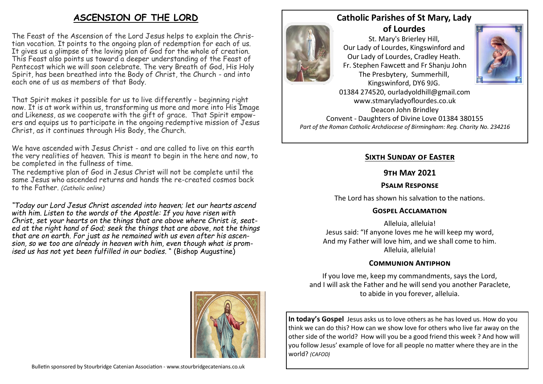# **ASCENSION OF THE LORD**

The Feast of the Ascension of the Lord Jesus helps to explain the Christian vocation. It points to the ongoing plan of redemption for each of us. It gives us a glimpse of the loving plan of God for the whole of creation. This Feast also points us toward a deeper understanding of the Feast of Pentecost which we will soon celebrate. The very Breath of God, His Holy Spirit, has been breathed into the Body of Christ, the Church - and into each one of us as members of that Body.

That Spirit makes it possible for us to live differently - beginning right now. It is at work within us, transforming us more and more into His Image and Likeness, as we cooperate with the gift of grace. That Spirit empowers and equips us to participate in the ongoing redemptive mission of Jesus Christ, as it continues through His Body, the Church.

We have ascended with Jesus Christ - and are called to live on this earth the very realities of heaven. This is meant to begin in the here and now, to be completed in the fullness of time.

The redemptive plan of God in Jesus Christ will not be complete until the same Jesus who ascended returns and hands the re-created cosmos back to the Father. *(Catholic online)*

*"Today our Lord Jesus Christ ascended into heaven; let our hearts ascend with him. Listen to the words of the Apostle: If you have risen with Christ, set your hearts on the things that are above where Christ is, seated at the right hand of God; seek the things that are above, not the things that are on earth. For just as he remained with us even after his ascension, so we too are already in heaven with him, even though what is promised us has not yet been fulfilled in our bodies.* " (Bishop Augustine)

Bulletin sponsored by Stourbridge Catenian Association - www.stourbridgecatenians.co.uk

### **Catholic Parishes of St Mary, Lady of Lourdes**

St. Mary's Brierley Hill, Our Lady of Lourdes, Kingswinford and Our Lady of Lourdes, Cradley Heath. Fr. Stephen Fawcett and Fr Shanju John The Presbytery, Summerhill, Kingswinford, DY6 9JG.



01384 274520, ourladyoldhill@gmail.com www.stmaryladyoflourdes.co.uk Deacon John Brindley Convent - Daughters of Divine Love 01384 380155 *Part of the Roman Catholic Archdiocese of Birmingham: Reg. Charity No. 234216*

## **Sixth Sunday of Easter**

### **9th May 2021**

### **Psalm Response**

The Lord has shown his salvation to the nations.

### **Gospel Acclamation**

Alleluia, alleluia! Jesus said: "If anyone loves me he will keep my word, And my Father will love him, and we shall come to him. Alleluia, alleluia!

### **Communion Antiphon**

If you love me, keep my commandments, says the Lord, and I will ask the Father and he will send you another Paraclete, to abide in you forever, alleluia.

**In today's Gospel** Jesus asks us to love others as he has loved us. How do you think we can do this? How can we show love for others who live far away on the other side of the world? How will you be a good friend this week ? And how will you follow Jesus' example of love for all people no matter where they are in the world? *(CAFOD)*